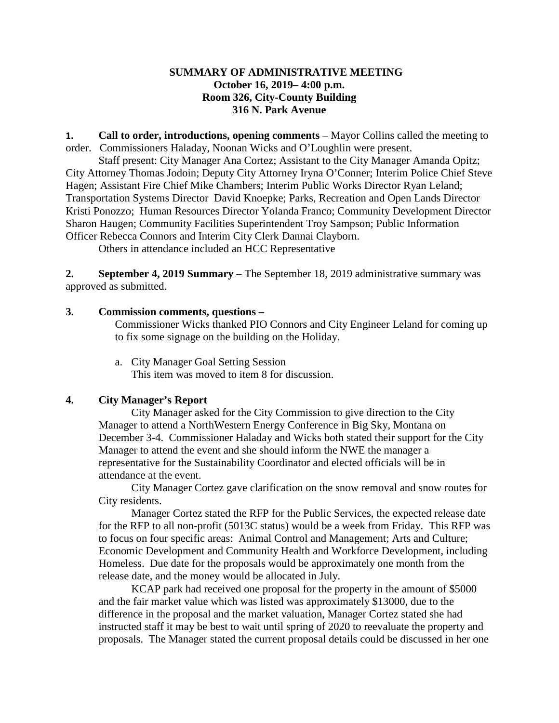## **SUMMARY OF ADMINISTRATIVE MEETING October 16, 2019– 4:00 p.m. Room 326, City-County Building 316 N. Park Avenue**

**1. Call to order, introductions, opening comments** – Mayor Collins called the meeting to order. Commissioners Haladay, Noonan Wicks and O'Loughlin were present.

Staff present: City Manager Ana Cortez; Assistant to the City Manager Amanda Opitz; City Attorney Thomas Jodoin; Deputy City Attorney Iryna O'Conner; Interim Police Chief Steve Hagen; Assistant Fire Chief Mike Chambers; Interim Public Works Director Ryan Leland; Transportation Systems Director David Knoepke; Parks, Recreation and Open Lands Director Kristi Ponozzo; Human Resources Director Yolanda Franco; Community Development Director Sharon Haugen; Community Facilities Superintendent Troy Sampson; Public Information Officer Rebecca Connors and Interim City Clerk Dannai Clayborn.

Others in attendance included an HCC Representative

**2. September 4, 2019 Summary** – The September 18, 2019 administrative summary was approved as submitted.

# **3. Commission comments, questions –**

Commissioner Wicks thanked PIO Connors and City Engineer Leland for coming up to fix some signage on the building on the Holiday.

a. City Manager Goal Setting Session This item was moved to item 8 for discussion.

# **4. City Manager's Report**

City Manager asked for the City Commission to give direction to the City Manager to attend a NorthWestern Energy Conference in Big Sky, Montana on December 3-4. Commissioner Haladay and Wicks both stated their support for the City Manager to attend the event and she should inform the NWE the manager a representative for the Sustainability Coordinator and elected officials will be in attendance at the event.

City Manager Cortez gave clarification on the snow removal and snow routes for City residents.

Manager Cortez stated the RFP for the Public Services, the expected release date for the RFP to all non-profit (5013C status) would be a week from Friday. This RFP was to focus on four specific areas: Animal Control and Management; Arts and Culture; Economic Development and Community Health and Workforce Development, including Homeless. Due date for the proposals would be approximately one month from the release date, and the money would be allocated in July.

KCAP park had received one proposal for the property in the amount of \$5000 and the fair market value which was listed was approximately \$13000, due to the difference in the proposal and the market valuation, Manager Cortez stated she had instructed staff it may be best to wait until spring of 2020 to reevaluate the property and proposals. The Manager stated the current proposal details could be discussed in her one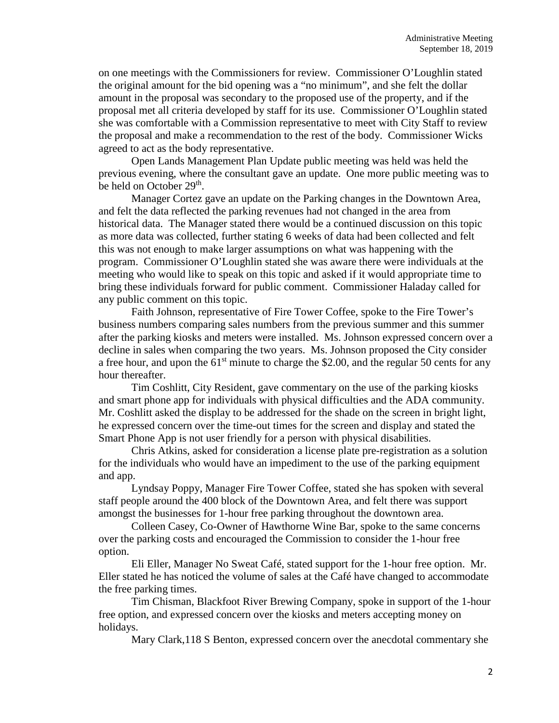on one meetings with the Commissioners for review. Commissioner O'Loughlin stated the original amount for the bid opening was a "no minimum", and she felt the dollar amount in the proposal was secondary to the proposed use of the property, and if the proposal met all criteria developed by staff for its use. Commissioner O'Loughlin stated she was comfortable with a Commission representative to meet with City Staff to review the proposal and make a recommendation to the rest of the body. Commissioner Wicks agreed to act as the body representative.

Open Lands Management Plan Update public meeting was held was held the previous evening, where the consultant gave an update. One more public meeting was to be held on October 29<sup>th</sup>.

Manager Cortez gave an update on the Parking changes in the Downtown Area, and felt the data reflected the parking revenues had not changed in the area from historical data. The Manager stated there would be a continued discussion on this topic as more data was collected, further stating 6 weeks of data had been collected and felt this was not enough to make larger assumptions on what was happening with the program. Commissioner O'Loughlin stated she was aware there were individuals at the meeting who would like to speak on this topic and asked if it would appropriate time to bring these individuals forward for public comment. Commissioner Haladay called for any public comment on this topic.

Faith Johnson, representative of Fire Tower Coffee, spoke to the Fire Tower's business numbers comparing sales numbers from the previous summer and this summer after the parking kiosks and meters were installed. Ms. Johnson expressed concern over a decline in sales when comparing the two years. Ms. Johnson proposed the City consider a free hour, and upon the  $61<sup>st</sup>$  minute to charge the \$2.00, and the regular 50 cents for any hour thereafter.

Tim Coshlitt, City Resident, gave commentary on the use of the parking kiosks and smart phone app for individuals with physical difficulties and the ADA community. Mr. Coshlitt asked the display to be addressed for the shade on the screen in bright light, he expressed concern over the time-out times for the screen and display and stated the Smart Phone App is not user friendly for a person with physical disabilities.

Chris Atkins, asked for consideration a license plate pre-registration as a solution for the individuals who would have an impediment to the use of the parking equipment and app.

Lyndsay Poppy, Manager Fire Tower Coffee, stated she has spoken with several staff people around the 400 block of the Downtown Area, and felt there was support amongst the businesses for 1-hour free parking throughout the downtown area.

Colleen Casey, Co-Owner of Hawthorne Wine Bar, spoke to the same concerns over the parking costs and encouraged the Commission to consider the 1-hour free option.

Eli Eller, Manager No Sweat Café, stated support for the 1-hour free option. Mr. Eller stated he has noticed the volume of sales at the Café have changed to accommodate the free parking times.

Tim Chisman, Blackfoot River Brewing Company, spoke in support of the 1-hour free option, and expressed concern over the kiosks and meters accepting money on holidays.

Mary Clark,118 S Benton, expressed concern over the anecdotal commentary she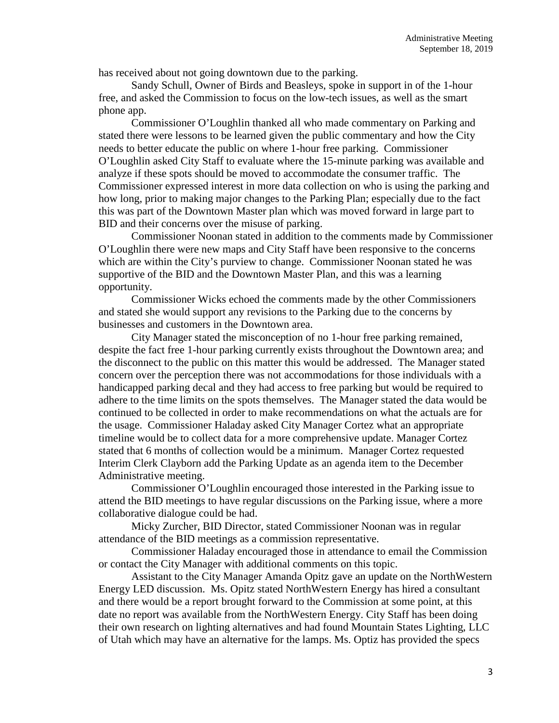has received about not going downtown due to the parking.

Sandy Schull, Owner of Birds and Beasleys, spoke in support in of the 1-hour free, and asked the Commission to focus on the low-tech issues, as well as the smart phone app.

Commissioner O'Loughlin thanked all who made commentary on Parking and stated there were lessons to be learned given the public commentary and how the City needs to better educate the public on where 1-hour free parking. Commissioner O'Loughlin asked City Staff to evaluate where the 15-minute parking was available and analyze if these spots should be moved to accommodate the consumer traffic. The Commissioner expressed interest in more data collection on who is using the parking and how long, prior to making major changes to the Parking Plan; especially due to the fact this was part of the Downtown Master plan which was moved forward in large part to BID and their concerns over the misuse of parking.

Commissioner Noonan stated in addition to the comments made by Commissioner O'Loughlin there were new maps and City Staff have been responsive to the concerns which are within the City's purview to change. Commissioner Noonan stated he was supportive of the BID and the Downtown Master Plan, and this was a learning opportunity.

Commissioner Wicks echoed the comments made by the other Commissioners and stated she would support any revisions to the Parking due to the concerns by businesses and customers in the Downtown area.

City Manager stated the misconception of no 1-hour free parking remained, despite the fact free 1-hour parking currently exists throughout the Downtown area; and the disconnect to the public on this matter this would be addressed. The Manager stated concern over the perception there was not accommodations for those individuals with a handicapped parking decal and they had access to free parking but would be required to adhere to the time limits on the spots themselves. The Manager stated the data would be continued to be collected in order to make recommendations on what the actuals are for the usage. Commissioner Haladay asked City Manager Cortez what an appropriate timeline would be to collect data for a more comprehensive update. Manager Cortez stated that 6 months of collection would be a minimum. Manager Cortez requested Interim Clerk Clayborn add the Parking Update as an agenda item to the December Administrative meeting.

Commissioner O'Loughlin encouraged those interested in the Parking issue to attend the BID meetings to have regular discussions on the Parking issue, where a more collaborative dialogue could be had.

Micky Zurcher, BID Director, stated Commissioner Noonan was in regular attendance of the BID meetings as a commission representative.

Commissioner Haladay encouraged those in attendance to email the Commission or contact the City Manager with additional comments on this topic.

Assistant to the City Manager Amanda Opitz gave an update on the NorthWestern Energy LED discussion. Ms. Opitz stated NorthWestern Energy has hired a consultant and there would be a report brought forward to the Commission at some point, at this date no report was available from the NorthWestern Energy. City Staff has been doing their own research on lighting alternatives and had found Mountain States Lighting, LLC of Utah which may have an alternative for the lamps. Ms. Optiz has provided the specs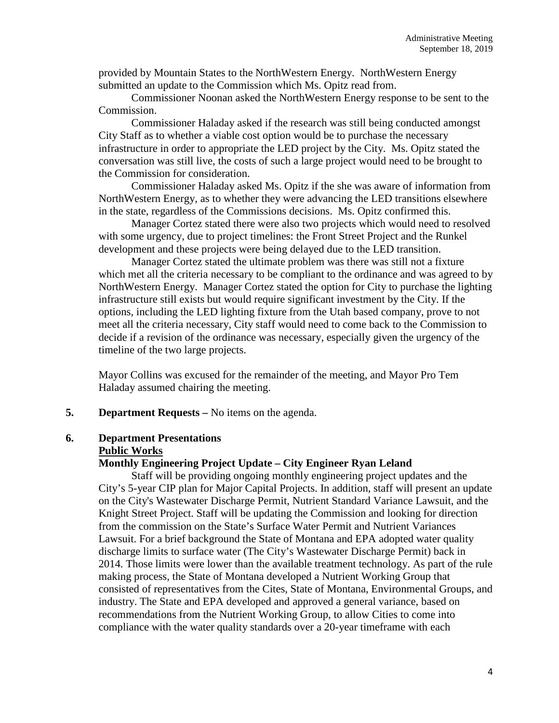provided by Mountain States to the NorthWestern Energy. NorthWestern Energy submitted an update to the Commission which Ms. Opitz read from.

Commissioner Noonan asked the NorthWestern Energy response to be sent to the Commission.

Commissioner Haladay asked if the research was still being conducted amongst City Staff as to whether a viable cost option would be to purchase the necessary infrastructure in order to appropriate the LED project by the City. Ms. Opitz stated the conversation was still live, the costs of such a large project would need to be brought to the Commission for consideration.

Commissioner Haladay asked Ms. Opitz if the she was aware of information from NorthWestern Energy, as to whether they were advancing the LED transitions elsewhere in the state, regardless of the Commissions decisions. Ms. Opitz confirmed this.

Manager Cortez stated there were also two projects which would need to resolved with some urgency, due to project timelines: the Front Street Project and the Runkel development and these projects were being delayed due to the LED transition.

Manager Cortez stated the ultimate problem was there was still not a fixture which met all the criteria necessary to be compliant to the ordinance and was agreed to by NorthWestern Energy. Manager Cortez stated the option for City to purchase the lighting infrastructure still exists but would require significant investment by the City. If the options, including the LED lighting fixture from the Utah based company, prove to not meet all the criteria necessary, City staff would need to come back to the Commission to decide if a revision of the ordinance was necessary, especially given the urgency of the timeline of the two large projects.

Mayor Collins was excused for the remainder of the meeting, and Mayor Pro Tem Haladay assumed chairing the meeting.

**5. Department Requests –** No items on the agenda.

#### **6. Department Presentations Public Works**

#### **Monthly Engineering Project Update – City Engineer Ryan Leland**

Staff will be providing ongoing monthly engineering project updates and the City's 5-year CIP plan for Major Capital Projects. In addition, staff will present an update on the City's Wastewater Discharge Permit, Nutrient Standard Variance Lawsuit, and the Knight Street Project. Staff will be updating the Commission and looking for direction from the commission on the State's Surface Water Permit and Nutrient Variances Lawsuit. For a brief background the State of Montana and EPA adopted water quality discharge limits to surface water (The City's Wastewater Discharge Permit) back in 2014. Those limits were lower than the available treatment technology. As part of the rule making process, the State of Montana developed a Nutrient Working Group that consisted of representatives from the Cites, State of Montana, Environmental Groups, and industry. The State and EPA developed and approved a general variance, based on recommendations from the Nutrient Working Group, to allow Cities to come into compliance with the water quality standards over a 20-year timeframe with each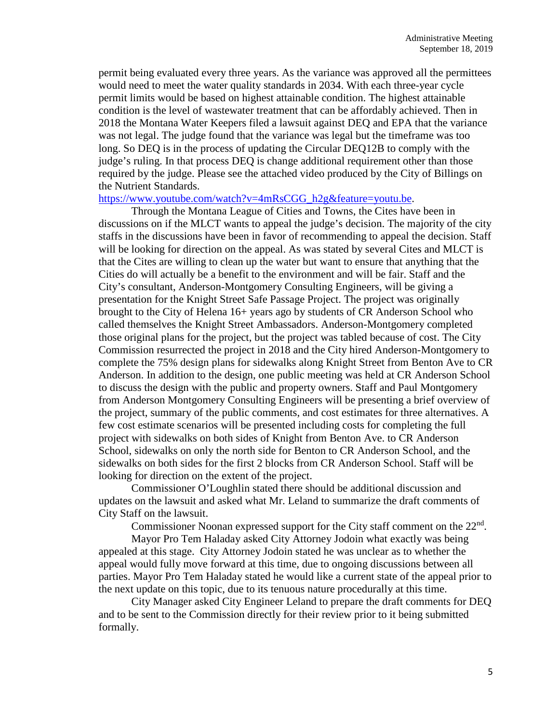permit being evaluated every three years. As the variance was approved all the permittees would need to meet the water quality standards in 2034. With each three-year cycle permit limits would be based on highest attainable condition. The highest attainable condition is the level of wastewater treatment that can be affordably achieved. Then in 2018 the Montana Water Keepers filed a lawsuit against DEQ and EPA that the variance was not legal. The judge found that the variance was legal but the timeframe was too long. So DEQ is in the process of updating the Circular DEQ12B to comply with the judge's ruling. In that process DEQ is change additional requirement other than those required by the judge. Please see the attached video produced by the City of Billings on the Nutrient Standards.

#### [https://www.youtube.com/watch?v=4mRsCGG\\_h2g&feature=youtu.be.](https://www.youtube.com/watch?v=4mRsCGG_h2g&feature=youtu.be)

Through the Montana League of Cities and Towns, the Cites have been in discussions on if the MLCT wants to appeal the judge's decision. The majority of the city staffs in the discussions have been in favor of recommending to appeal the decision. Staff will be looking for direction on the appeal. As was stated by several Cites and MLCT is that the Cites are willing to clean up the water but want to ensure that anything that the Cities do will actually be a benefit to the environment and will be fair. Staff and the City's consultant, Anderson-Montgomery Consulting Engineers, will be giving a presentation for the Knight Street Safe Passage Project. The project was originally brought to the City of Helena 16+ years ago by students of CR Anderson School who called themselves the Knight Street Ambassadors. Anderson-Montgomery completed those original plans for the project, but the project was tabled because of cost. The City Commission resurrected the project in 2018 and the City hired Anderson-Montgomery to complete the 75% design plans for sidewalks along Knight Street from Benton Ave to CR Anderson. In addition to the design, one public meeting was held at CR Anderson School to discuss the design with the public and property owners. Staff and Paul Montgomery from Anderson Montgomery Consulting Engineers will be presenting a brief overview of the project, summary of the public comments, and cost estimates for three alternatives. A few cost estimate scenarios will be presented including costs for completing the full project with sidewalks on both sides of Knight from Benton Ave. to CR Anderson School, sidewalks on only the north side for Benton to CR Anderson School, and the sidewalks on both sides for the first 2 blocks from CR Anderson School. Staff will be looking for direction on the extent of the project.

Commissioner O'Loughlin stated there should be additional discussion and updates on the lawsuit and asked what Mr. Leland to summarize the draft comments of City Staff on the lawsuit.

Commissioner Noonan expressed support for the City staff comment on the 22<sup>nd</sup>.

Mayor Pro Tem Haladay asked City Attorney Jodoin what exactly was being appealed at this stage. City Attorney Jodoin stated he was unclear as to whether the appeal would fully move forward at this time, due to ongoing discussions between all parties. Mayor Pro Tem Haladay stated he would like a current state of the appeal prior to the next update on this topic, due to its tenuous nature procedurally at this time.

City Manager asked City Engineer Leland to prepare the draft comments for DEQ and to be sent to the Commission directly for their review prior to it being submitted formally.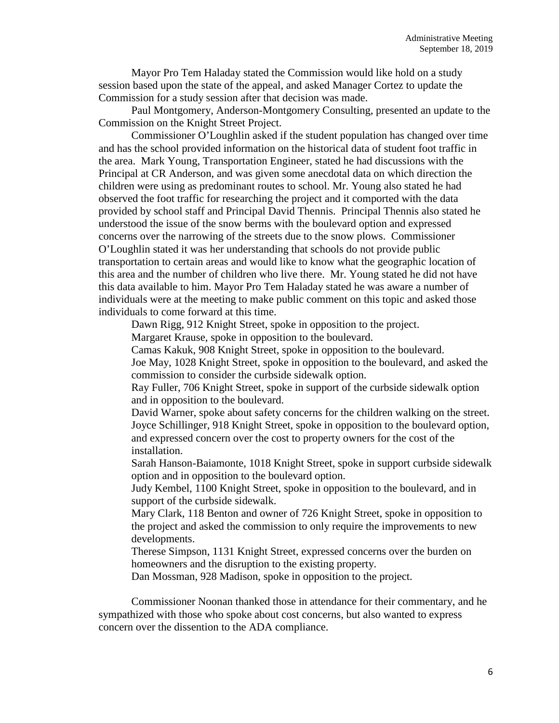Mayor Pro Tem Haladay stated the Commission would like hold on a study session based upon the state of the appeal, and asked Manager Cortez to update the Commission for a study session after that decision was made.

Paul Montgomery, Anderson-Montgomery Consulting, presented an update to the Commission on the Knight Street Project.

Commissioner O'Loughlin asked if the student population has changed over time and has the school provided information on the historical data of student foot traffic in the area. Mark Young, Transportation Engineer, stated he had discussions with the Principal at CR Anderson, and was given some anecdotal data on which direction the children were using as predominant routes to school. Mr. Young also stated he had observed the foot traffic for researching the project and it comported with the data provided by school staff and Principal David Thennis. Principal Thennis also stated he understood the issue of the snow berms with the boulevard option and expressed concerns over the narrowing of the streets due to the snow plows. Commissioner O'Loughlin stated it was her understanding that schools do not provide public transportation to certain areas and would like to know what the geographic location of this area and the number of children who live there. Mr. Young stated he did not have this data available to him. Mayor Pro Tem Haladay stated he was aware a number of individuals were at the meeting to make public comment on this topic and asked those individuals to come forward at this time.

Dawn Rigg, 912 Knight Street, spoke in opposition to the project.

Margaret Krause, spoke in opposition to the boulevard.

Camas Kakuk, 908 Knight Street, spoke in opposition to the boulevard. Joe May, 1028 Knight Street, spoke in opposition to the boulevard, and asked the commission to consider the curbside sidewalk option.

Ray Fuller, 706 Knight Street, spoke in support of the curbside sidewalk option and in opposition to the boulevard.

David Warner, spoke about safety concerns for the children walking on the street. Joyce Schillinger, 918 Knight Street, spoke in opposition to the boulevard option, and expressed concern over the cost to property owners for the cost of the installation.

Sarah Hanson-Baiamonte, 1018 Knight Street, spoke in support curbside sidewalk option and in opposition to the boulevard option.

Judy Kembel, 1100 Knight Street, spoke in opposition to the boulevard, and in support of the curbside sidewalk.

Mary Clark, 118 Benton and owner of 726 Knight Street, spoke in opposition to the project and asked the commission to only require the improvements to new developments.

Therese Simpson, 1131 Knight Street, expressed concerns over the burden on homeowners and the disruption to the existing property.

Dan Mossman, 928 Madison, spoke in opposition to the project.

Commissioner Noonan thanked those in attendance for their commentary, and he sympathized with those who spoke about cost concerns, but also wanted to express concern over the dissention to the ADA compliance.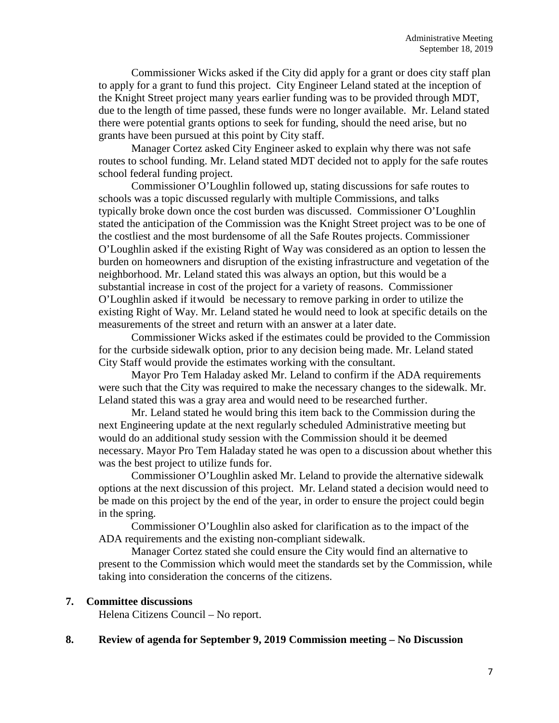Commissioner Wicks asked if the City did apply for a grant or does city staff plan to apply for a grant to fund this project. City Engineer Leland stated at the inception of the Knight Street project many years earlier funding was to be provided through MDT, due to the length of time passed, these funds were no longer available. Mr. Leland stated there were potential grants options to seek for funding, should the need arise, but no grants have been pursued at this point by City staff.

Manager Cortez asked City Engineer asked to explain why there was not safe routes to school funding. Mr. Leland stated MDT decided not to apply for the safe routes school federal funding project.

Commissioner O'Loughlin followed up, stating discussions for safe routes to schools was a topic discussed regularly with multiple Commissions, and talks typically broke down once the cost burden was discussed. Commissioner O'Loughlin stated the anticipation of the Commission was the Knight Street project was to be one of the costliest and the most burdensome of all the Safe Routes projects. Commissioner O'Loughlin asked if the existing Right of Way was considered as an option to lessen the burden on homeowners and disruption of the existing infrastructure and vegetation of the neighborhood. Mr. Leland stated this was always an option, but this would be a substantial increase in cost of the project for a variety of reasons. Commissioner O'Loughlin asked if itwould be necessary to remove parking in order to utilize the existing Right of Way. Mr. Leland stated he would need to look at specific details on the measurements of the street and return with an answer at a later date.

Commissioner Wicks asked if the estimates could be provided to the Commission for the curbside sidewalk option, prior to any decision being made. Mr. Leland stated City Staff would provide the estimates working with the consultant.

Mayor Pro Tem Haladay asked Mr. Leland to confirm if the ADA requirements were such that the City was required to make the necessary changes to the sidewalk. Mr. Leland stated this was a gray area and would need to be researched further.

Mr. Leland stated he would bring this item back to the Commission during the next Engineering update at the next regularly scheduled Administrative meeting but would do an additional study session with the Commission should it be deemed necessary. Mayor Pro Tem Haladay stated he was open to a discussion about whether this was the best project to utilize funds for.

Commissioner O'Loughlin asked Mr. Leland to provide the alternative sidewalk options at the next discussion of this project. Mr. Leland stated a decision would need to be made on this project by the end of the year, in order to ensure the project could begin in the spring.

Commissioner O'Loughlin also asked for clarification as to the impact of the ADA requirements and the existing non-compliant sidewalk.

Manager Cortez stated she could ensure the City would find an alternative to present to the Commission which would meet the standards set by the Commission, while taking into consideration the concerns of the citizens.

## **7. Committee discussions**

Helena Citizens Council – No report.

## **8. Review of agenda for September 9, 2019 Commission meeting – No Discussion**